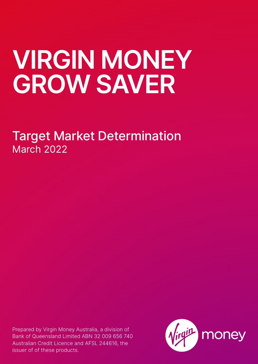# **VIRGIN MONEY GROW SAVER**

Target Market Determination March 2022

Prepared by Virgin Money Australia, a division of Bank of Queensland Limited ABN 32 009 656 740 Australian Credit Licence and AFSL 244616, the issuer of of these products.

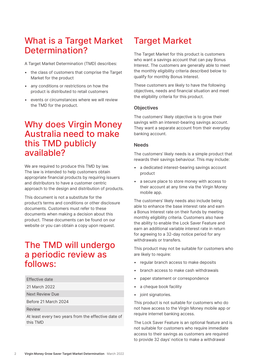## What is a Target Market Determination?

A Target Market Determination (TMD) describes:

- the class of customers that comprise the Target Market for the product
- any conditions or restrictions on how the product is distributed to retail customers
- events or circumstances where we will review the TMD for the product.

## Why does Virgin Money Australia need to make this TMD publicly available?

We are required to produce this TMD by law. The law is intended to help customers obtain appropriate financial products by requiring issuers and distributors to have a customer centric approach to the design and distribution of products.

This document is not a substitute for the product's terms and conditions or other disclosure documents. Customers must refer to these documents when making a decision about this product. These documents can be found on our website or you can obtain a copy upon request.

## The TMD will undergo a periodic review as follows:

- Effective date
- 21 March 2022

Next Review Due

Before 21 March 2024

Review

At least every two years from the effective date of this TMD

## Target Market

The Target Market for this product is customers who want a savings account that can pay Bonus Interest. The customers are generally able to meet the monthly eligibility criteria described below to qualify for monthly Bonus Interest.

These customers are likely to have the following objectives, needs and financial situation and meet the eligibility criteria for this product.

#### **Objectives**

The customers' likely objective is to grow their savings with an interest-bearing savings account. They want a separate account from their everyday banking account.

#### **Needs**

The customers' likely needs is a simple product that rewards their savings behaviour. This may include:

- a dedicated interest-bearing savings account product
- a secure place to store money with access to their account at any time via the Virgin Money mobile app.

The customers' likely needs also include being able to enhance the base interest rate and earn a Bonus Interest rate on their funds by meeting monthly eligibility criteria. Customers also have the ability to enable the Lock Saver Feature and earn an additional variable interest rate in return for agreeing to a 32-day notice period for any withdrawals or transfers.

This product may not be suitable for customers who are likely to require:

- regular branch access to make deposits
- branch access to make cash withdrawals
- paper statement or correspondence
- a cheque book facility
- joint signatories.

This product is not suitable for customers who do not have access to the Virgin Money mobile app or require internet banking access.

The Lock Saver Feature is an optional feature and is not suitable for customers who require immediate access to their savings as customers are required to provide 32 days' notice to make a withdrawal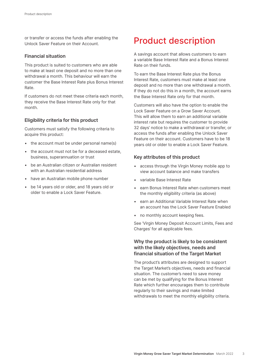or transfer or access the funds after enabling the Unlock Saver Feature on their Account.

#### **Financial situation**

This product is suited to customers who are able to make at least one deposit and no more than one withdrawal a month. This behaviour will earn the customer the Base Interest Rate plus Bonus Interest Rate.

If customers do not meet these criteria each month, they receive the Base Interest Rate only for that month.

#### **Eligibility criteria for this product**

Customers must satisfy the following criteria to acquire this product:

- the account must be under personal name(s)
- the account must not be for a deceased estate, business, superannuation or trust
- be an Australian citizen or Australian resident with an Australian residential address
- have an Australian mobile phone number
- be 14 years old or older, and 18 years old or older to enable a Lock Saver Feature.

## Product description

A savings account that allows customers to earn a variable Base Interest Rate and a Bonus Interest Rate on their funds.

To earn the Base Interest Rate plus the Bonus Interest Rate, customers must make at least one deposit and no more than one withdrawal a month. If they do not do this in a month, the account earns the Base Interest Rate only for that month.

Customers will also have the option to enable the Lock Saver Feature on a Grow Saver Account. This will allow them to earn an additional variable interest rate but requires the customer to provide 32 days' notice to make a withdrawal or transfer, or access the funds after enabling the Unlock Saver Feature on their account. Customers have to be 18 years old or older to enable a Lock Saver Feature.

#### **Key attributes of this product**

- access through the Virgin Money mobile app to view account balance and make transfers
- variable Base Interest Rate
- earn Bonus Interest Rate when customers meet the monthly eligibility criteria (as above)
- earn an Additional Variable Interest Rate when an account has the Lock Saver Feature Enabled
- no monthly account keeping fees.

See 'Virgin Money Deposit Account Limits, Fees and Charges' for all applicable fees.

## **Why the product is likely to be consistent with the likely objectives, needs and financial situation of the Target Market**

The product's attributes are designed to support the Target Market's objectives, needs and financial situation. The customer's need to save money can be met by qualifying for the Bonus Interest Rate which further encourages them to contribute regularly to their savings and make limited withdrawals to meet the monthly eligibility criteria.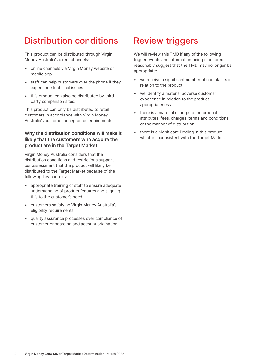# Distribution conditions

This product can be distributed through Virgin Money Australia's direct channels:

- online channels via Virgin Money website or mobile app
- staff can help customers over the phone if they experience technical issues
- this product can also be distributed by thirdparty comparison sites.

This product can only be distributed to retail customers in accordance with Virgin Money Australia's customer acceptance requirements.

## **Why the distribution conditions will make it likely that the customers who acquire the product are in the Target Market**

Virgin Money Australia considers that the distribution conditions and restrictions support our assessment that the product will likely be distributed to the Target Market because of the following key controls:

- appropriate training of staff to ensure adequate understanding of product features and aligning this to the customer's need
- customers satisfying Virgin Money Australia's eligibility requirements
- quality assurance processes over compliance of customer onboarding and account origination

# Review triggers

We will review this TMD if any of the following trigger events and information being monitored reasonably suggest that the TMD may no longer be appropriate:

- we receive a significant number of complaints in relation to the product
- we identify a material adverse customer experience in relation to the product appropriateness
- there is a material change to the product attributes, fees, charges, terms and conditions or the manner of distribution
- there is a Significant Dealing in this product which is inconsistent with the Target Market.